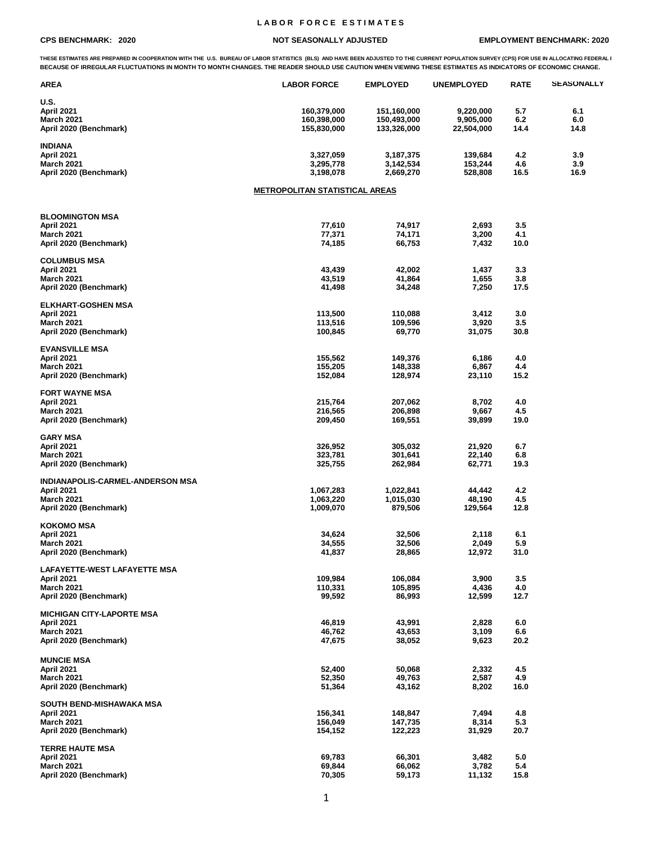## **L A B O R F O R C E E S T I M A T E S**

## **CPS BENCHMARK: 2020 NOT SEASONALLY ADJUSTED EMPLOYMENT BENCHMARK: 2020**

THESE ESTIMATES ARE PREPARED IN COOPERATION WITH THE U.S. BUREAU OF LABOR STATISTICS (BLS) AND HAVE BEEN ADJUSTED TO THE CURRENT POPULATION SURVEY (CPS) FOR USE IN ALLOCATING FEDERAL I **BECAUSE OF IRREGULAR FLUCTUATIONS IN MONTH TO MONTH CHANGES. THE READER SHOULD USE CAUTION WHEN VIEWING THESE ESTIMATES AS INDICATORS OF ECONOMIC CHANGE.**

| <b>AREA</b>                                 | <b>LABOR FORCE</b>                    | <b>EMPLOYED</b>          | <b>UNEMPLOYED</b>  | <b>RATE</b> | <b>SEASONALLY</b> |
|---------------------------------------------|---------------------------------------|--------------------------|--------------------|-------------|-------------------|
| <b>U.S.</b><br>April 2021                   | 160,379,000                           | 151,160,000              | 9,220,000          | 5.7         | 6.1               |
| <b>March 2021</b>                           | 160,398,000                           | 150,493,000              | 9,905,000          | 6.2         | 6.0               |
| April 2020 (Benchmark)                      | 155,830,000                           | 133,326,000              | 22,504,000         | 14.4        | 14.8              |
| <b>INDIANA</b>                              |                                       |                          |                    |             |                   |
| April 2021<br><b>March 2021</b>             | 3,327,059<br>3,295,778                | 3, 187, 375<br>3,142,534 | 139,684<br>153,244 | 4.2<br>4.6  | 3.9<br>3.9        |
| April 2020 (Benchmark)                      | 3,198,078                             | 2,669,270                | 528,808            | 16.5        | 16.9              |
|                                             | <b>METROPOLITAN STATISTICAL AREAS</b> |                          |                    |             |                   |
| <b>BLOOMINGTON MSA</b>                      |                                       |                          |                    |             |                   |
| April 2021                                  | 77,610                                | 74,917                   | 2,693              | 3.5         |                   |
| <b>March 2021</b>                           | 77,371                                | 74,171                   | 3,200              | 4.1         |                   |
| April 2020 (Benchmark)                      | 74,185                                | 66,753                   | 7,432              | 10.0        |                   |
| <b>COLUMBUS MSA</b>                         |                                       |                          |                    |             |                   |
| April 2021<br><b>March 2021</b>             | 43,439<br>43,519                      | 42,002<br>41,864         | 1,437<br>1,655     | 3.3<br>3.8  |                   |
| April 2020 (Benchmark)                      | 41,498                                | 34,248                   | 7,250              | 17.5        |                   |
| <b>ELKHART-GOSHEN MSA</b>                   |                                       |                          |                    |             |                   |
| April 2021<br><b>March 2021</b>             | 113,500<br>113,516                    | 110,088                  | 3,412              | 3.0<br>3.5  |                   |
| April 2020 (Benchmark)                      | 100,845                               | 109,596<br>69,770        | 3,920<br>31,075    | 30.8        |                   |
| <b>EVANSVILLE MSA</b>                       |                                       |                          |                    |             |                   |
| April 2021                                  | 155,562                               | 149,376                  | 6,186              | 4.0         |                   |
| <b>March 2021</b>                           | 155,205                               | 148,338                  | 6,867              | 4.4         |                   |
| April 2020 (Benchmark)                      | 152,084                               | 128,974                  | 23,110             | 15.2        |                   |
| <b>FORT WAYNE MSA</b>                       |                                       |                          |                    |             |                   |
| April 2021<br><b>March 2021</b>             | 215,764<br>216,565                    | 207,062<br>206,898       | 8,702<br>9,667     | 4.0<br>4.5  |                   |
| April 2020 (Benchmark)                      | 209,450                               | 169,551                  | 39,899             | 19.0        |                   |
| <b>GARY MSA</b>                             |                                       |                          |                    |             |                   |
| April 2021                                  | 326,952                               | 305,032                  | 21,920             | 6.7         |                   |
| <b>March 2021</b><br>April 2020 (Benchmark) | 323,781<br>325,755                    | 301,641<br>262,984       | 22,140<br>62,771   | 6.8<br>19.3 |                   |
| INDIANAPOLIS-CARMEL-ANDERSON MSA            |                                       |                          |                    |             |                   |
| April 2021                                  | 1,067,283                             | 1,022,841                | 44,442             | 4.2         |                   |
| <b>March 2021</b>                           | 1,063,220                             | 1,015,030                | 48,190             | 4.5         |                   |
| April 2020 (Benchmark)                      | 1,009,070                             | 879,506                  | 129,564            | 12.8        |                   |
| <b>KOKOMO MSA</b><br>April 2021             | 34,624                                | 32,506                   | 2,118              | 6.1         |                   |
| <b>March 2021</b>                           | 34,555                                | 32,506                   | 2,049              | 5.9         |                   |
| April 2020 (Benchmark)                      | 41,837                                | 28,865                   | 12,972             | 31.0        |                   |
| <b>LAFAYETTE-WEST LAFAYETTE MSA</b>         |                                       |                          |                    |             |                   |
| April 2021                                  | 109,984                               | 106,084                  | 3,900              | 3.5         |                   |
| <b>March 2021</b><br>April 2020 (Benchmark) | 110,331<br>99,592                     | 105,895<br>86,993        | 4,436<br>12,599    | 4.0<br>12.7 |                   |
| <b>MICHIGAN CITY-LAPORTE MSA</b>            |                                       |                          |                    |             |                   |
| April 2021                                  | 46,819                                | 43,991                   | 2,828              | 6.0         |                   |
| <b>March 2021</b><br>April 2020 (Benchmark) | 46,762<br>47,675                      | 43,653<br>38,052         | 3,109<br>9,623     | 6.6<br>20.2 |                   |
|                                             |                                       |                          |                    |             |                   |
| <b>MUNCIE MSA</b><br>April 2021             | 52,400                                | 50,068                   | 2,332              | 4.5         |                   |
| <b>March 2021</b>                           | 52,350                                | 49,763                   | 2,587              | 4.9         |                   |
| April 2020 (Benchmark)                      | 51,364                                | 43,162                   | 8,202              | 16.0        |                   |
| SOUTH BEND-MISHAWAKA MSA<br>April 2021      | 156,341                               | 148,847                  | 7,494              | 4.8         |                   |
| <b>March 2021</b>                           | 156,049                               | 147,735                  | 8,314              | 5.3         |                   |
| April 2020 (Benchmark)                      | 154,152                               | 122,223                  | 31,929             | 20.7        |                   |
| <b>TERRE HAUTE MSA</b>                      |                                       |                          |                    |             |                   |
| April 2021<br><b>March 2021</b>             | 69,783<br>69,844                      | 66,301<br>66,062         | 3,482<br>3,782     | 5.0<br>5.4  |                   |
| April 2020 (Benchmark)                      | 70,305                                | 59,173                   | 11,132             | 15.8        |                   |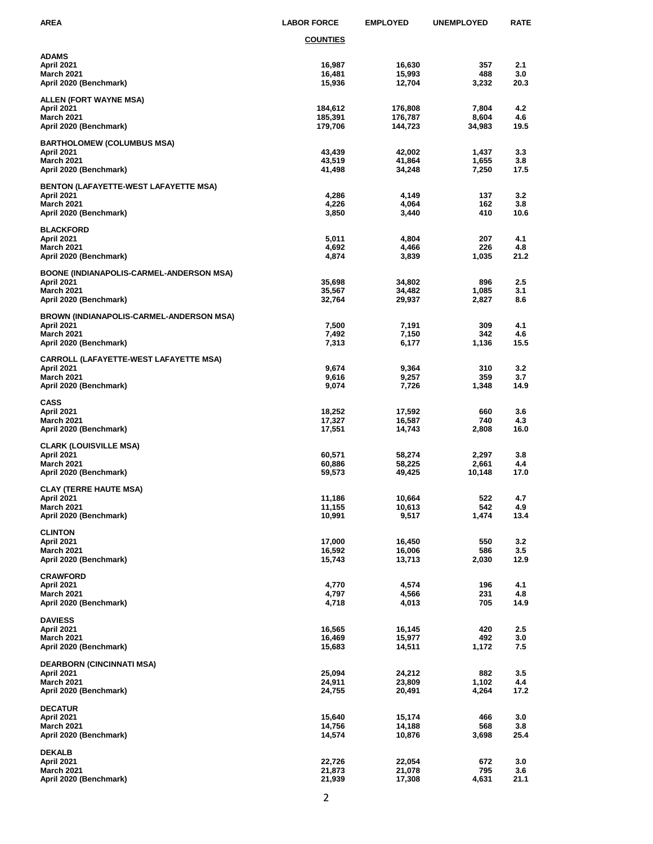| <b>AREA</b>                                                                                                  | <b>LABOR FORCE</b>            | <b>EMPLOYED</b>               | <b>UNEMPLOYED</b>        | <b>RATE</b>        |
|--------------------------------------------------------------------------------------------------------------|-------------------------------|-------------------------------|--------------------------|--------------------|
|                                                                                                              | <b>COUNTIES</b>               |                               |                          |                    |
| <b>ADAMS</b><br>April 2021<br><b>March 2021</b><br>April 2020 (Benchmark)                                    | 16,987<br>16,481<br>15,936    | 16,630<br>15,993<br>12,704    | 357<br>488<br>3,232      | 2.1<br>3.0<br>20.3 |
| <b>ALLEN (FORT WAYNE MSA)</b><br>April 2021<br><b>March 2021</b><br>April 2020 (Benchmark)                   | 184,612<br>185,391<br>179,706 | 176,808<br>176,787<br>144,723 | 7,804<br>8,604<br>34,983 | 4.2<br>4.6<br>19.5 |
| <b>BARTHOLOMEW (COLUMBUS MSA)</b><br>April 2021<br><b>March 2021</b><br>April 2020 (Benchmark)               | 43,439<br>43,519<br>41,498    | 42,002<br>41,864<br>34,248    | 1,437<br>1,655<br>7,250  | 3.3<br>3.8<br>17.5 |
| <b>BENTON (LAFAYETTE-WEST LAFAYETTE MSA)</b><br>April 2021<br><b>March 2021</b><br>April 2020 (Benchmark)    | 4,286<br>4,226<br>3,850       | 4,149<br>4,064<br>3,440       | 137<br>162<br>410        | 3.2<br>3.8<br>10.6 |
| <b>BLACKFORD</b><br>April 2021<br><b>March 2021</b><br>April 2020 (Benchmark)                                | 5,011<br>4,692<br>4,874       | 4,804<br>4,466<br>3,839       | 207<br>226<br>1,035      | 4.1<br>4.8<br>21.2 |
| BOONE (INDIANAPOLIS-CARMEL-ANDERSON MSA)<br>April 2021<br><b>March 2021</b><br>April 2020 (Benchmark)        | 35,698<br>35,567<br>32,764    | 34,802<br>34,482<br>29,937    | 896<br>1,085<br>2,827    | 2.5<br>3.1<br>8.6  |
| <b>BROWN (INDIANAPOLIS-CARMEL-ANDERSON MSA)</b><br>April 2021<br><b>March 2021</b><br>April 2020 (Benchmark) | 7,500<br>7,492<br>7,313       | 7,191<br>7,150<br>6,177       | 309<br>342<br>1,136      | 4.1<br>4.6<br>15.5 |
| <b>CARROLL (LAFAYETTE-WEST LAFAYETTE MSA)</b><br>April 2021<br><b>March 2021</b><br>April 2020 (Benchmark)   | 9,674<br>9,616<br>9,074       | 9,364<br>9,257<br>7,726       | 310<br>359<br>1,348      | 3.2<br>3.7<br>14.9 |
| <b>CASS</b><br>April 2021<br><b>March 2021</b><br>April 2020 (Benchmark)                                     | 18,252<br>17,327<br>17,551    | 17,592<br>16,587<br>14,743    | 660<br>740<br>2,808      | 3.6<br>4.3<br>16.0 |
| <b>CLARK (LOUISVILLE MSA)</b><br>April 2021<br><b>March 2021</b><br>April 2020 (Benchmark)                   | 60,571<br>60,886<br>59,573    | 58,274<br>58,225<br>49,425    | 2,297<br>2,661<br>10,148 | 3.8<br>4.4<br>17.0 |
| <b>CLAY (TERRE HAUTE MSA)</b><br>April 2021<br><b>March 2021</b><br>April 2020 (Benchmark)                   | 11,186<br>11,155<br>10,991    | 10,664<br>10,613<br>9,517     | 522<br>542<br>1,474      | 4.7<br>4.9<br>13.4 |
| <b>CLINTON</b><br>April 2021<br><b>March 2021</b><br>April 2020 (Benchmark)                                  | 17,000<br>16,592<br>15,743    | 16,450<br>16,006<br>13,713    | 550<br>586<br>2,030      | 3.2<br>3.5<br>12.9 |
| <b>CRAWFORD</b><br>April 2021<br><b>March 2021</b><br>April 2020 (Benchmark)                                 | 4,770<br>4,797<br>4,718       | 4,574<br>4,566<br>4,013       | 196<br>231<br>705        | 4.1<br>4.8<br>14.9 |
| <b>DAVIESS</b><br>April 2021<br><b>March 2021</b><br>April 2020 (Benchmark)                                  | 16,565<br>16,469<br>15,683    | 16,145<br>15,977<br>14,511    | 420<br>492<br>1,172      | 2.5<br>3.0<br>7.5  |
| <b>DEARBORN (CINCINNATI MSA)</b><br>April 2021<br><b>March 2021</b><br>April 2020 (Benchmark)                | 25,094<br>24,911<br>24,755    | 24,212<br>23,809<br>20,491    | 882<br>1,102<br>4,264    | 3.5<br>4.4<br>17.2 |
| <b>DECATUR</b><br>April 2021<br><b>March 2021</b><br>April 2020 (Benchmark)                                  | 15,640<br>14,756<br>14,574    | 15,174<br>14,188<br>10,876    | 466<br>568<br>3,698      | 3.0<br>3.8<br>25.4 |
| <b>DEKALB</b><br>April 2021<br><b>March 2021</b><br>April 2020 (Benchmark)                                   | 22,726<br>21,873<br>21,939    | 22,054<br>21,078<br>17,308    | 672<br>795<br>4,631      | 3.0<br>3.6<br>21.1 |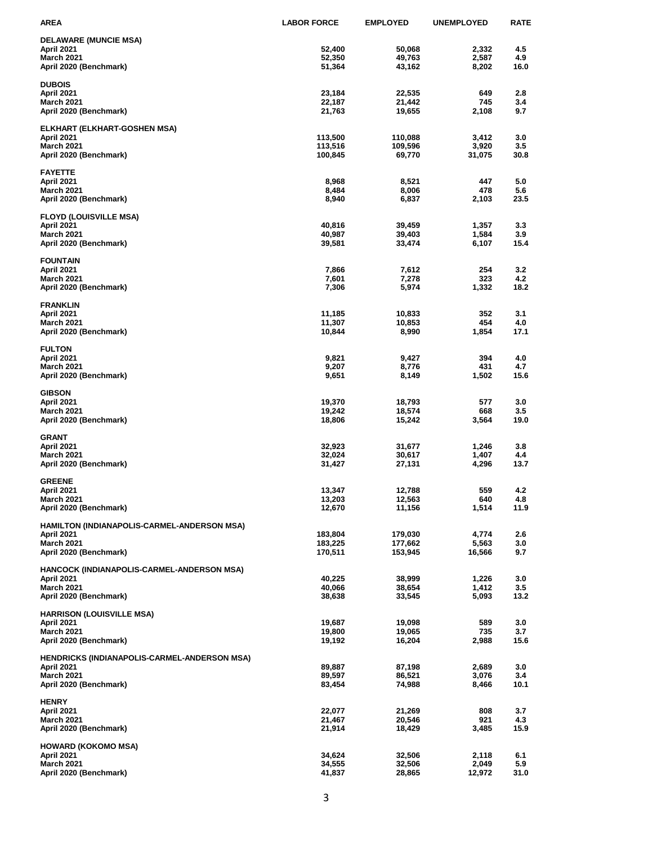| <b>AREA</b>                                         | <b>LABOR FORCE</b> | <b>EMPLOYED</b>  | <b>UNEMPLOYED</b> | <b>RATE</b> |
|-----------------------------------------------------|--------------------|------------------|-------------------|-------------|
| <b>DELAWARE (MUNCIE MSA)</b>                        |                    |                  |                   |             |
| April 2021                                          | 52,400             | 50,068           | 2,332             | 4.5         |
| <b>March 2021</b>                                   | 52,350             | 49,763           | 2,587             | 4.9         |
| April 2020 (Benchmark)                              | 51,364             | 43,162           | 8,202             | 16.0        |
| <b>DUBOIS</b>                                       |                    |                  |                   |             |
| April 2021                                          | 23,184             | 22,535           | 649               | 2.8         |
| <b>March 2021</b>                                   | 22,187             | 21,442           | 745               | 3.4         |
| April 2020 (Benchmark)                              | 21,763             | 19,655           | 2,108             | 9.7         |
| ELKHART (ELKHART-GOSHEN MSA)                        |                    |                  |                   |             |
| April 2021                                          | 113,500            | 110,088          | 3,412             | 3.0         |
| <b>March 2021</b>                                   | 113,516            | 109,596          | 3,920             | 3.5         |
| April 2020 (Benchmark)                              | 100,845            | 69,770           | 31,075            | 30.8        |
| <b>FAYETTE</b>                                      |                    |                  |                   |             |
| April 2021                                          | 8,968              | 8,521            | 447               | 5.0         |
| <b>March 2021</b>                                   | 8,484              | 8,006            | 478               | 5.6         |
| April 2020 (Benchmark)                              | 8,940              | 6,837            | 2,103             | 23.5        |
| <b>FLOYD (LOUISVILLE MSA)</b>                       |                    |                  |                   |             |
| April 2021                                          | 40,816             | 39,459           | 1,357             | 3.3         |
| <b>March 2021</b>                                   | 40,987             | 39,403           | 1,584             | 3.9         |
| April 2020 (Benchmark)                              | 39,581             | 33,474           | 6,107             | 15.4        |
| <b>FOUNTAIN</b>                                     |                    |                  |                   |             |
| April 2021                                          | 7,866              | 7,612            | 254               | 3.2         |
| <b>March 2021</b>                                   | 7,601              | 7,278            | 323               | 4.2         |
| April 2020 (Benchmark)                              | 7,306              | 5,974            | 1,332             | 18.2        |
|                                                     |                    |                  |                   |             |
| <b>FRANKLIN</b><br>April 2021                       | 11,185             | 10,833           | 352               | 3.1         |
| <b>March 2021</b>                                   | 11,307             | 10,853           | 454               | 4.0         |
| April 2020 (Benchmark)                              | 10,844             | 8,990            | 1,854             | 17.1        |
|                                                     |                    |                  |                   |             |
| <b>FULTON</b>                                       |                    |                  |                   |             |
| April 2021<br><b>March 2021</b>                     | 9,821<br>9,207     | 9,427<br>8,776   | 394<br>431        | 4.0<br>4.7  |
| April 2020 (Benchmark)                              | 9,651              | 8,149            | 1,502             | 15.6        |
|                                                     |                    |                  |                   |             |
| <b>GIBSON</b>                                       |                    |                  |                   |             |
| April 2021                                          | 19,370             | 18,793           | 577               | 3.0         |
| <b>March 2021</b><br>April 2020 (Benchmark)         | 19,242<br>18,806   | 18,574<br>15,242 | 668<br>3,564      | 3.5<br>19.0 |
|                                                     |                    |                  |                   |             |
| <b>GRANT</b>                                        |                    |                  |                   |             |
| April 2021                                          | 32,923             | 31,677           | 1,246             | 3.8         |
| <b>March 2021</b>                                   | 32,024             | 30,617           | 1,407             | 4.4         |
| April 2020 (Benchmark)                              | 31,427             | 27,131           | 4,296             | 13.7        |
| <b>GREENE</b>                                       |                    |                  |                   |             |
| April 2021                                          | 13,347             | 12,788           | 559               | 4.2         |
| <b>March 2021</b>                                   | 13,203             | 12,563           | 640               | 4.8         |
| April 2020 (Benchmark)                              | 12,670             | 11,156           | 1,514             | 11.9        |
| HAMILTON (INDIANAPOLIS-CARMEL-ANDERSON MSA)         |                    |                  |                   |             |
| April 2021                                          | 183,804            | 179,030          | 4,774             | 2.6         |
| <b>March 2021</b>                                   | 183,225            | 177,662          | 5,563             | 3.0         |
| April 2020 (Benchmark)                              | 170,511            | 153,945          | 16,566            | 9.7         |
| HANCOCK (INDIANAPOLIS-CARMEL-ANDERSON MSA)          |                    |                  |                   |             |
| April 2021                                          | 40,225             | 38,999           | 1,226             | 3.0         |
| <b>March 2021</b>                                   | 40,066             | 38,654           | 1,412             | 3.5         |
| April 2020 (Benchmark)                              | 38,638             | 33,545           | 5,093             | 13.2        |
| <b>HARRISON (LOUISVILLE MSA)</b>                    |                    |                  |                   |             |
| April 2021                                          | 19,687             | 19,098           | 589               | 3.0         |
| <b>March 2021</b>                                   | 19,800             | 19,065           | 735               | 3.7         |
| April 2020 (Benchmark)                              | 19,192             | 16,204           | 2,988             | 15.6        |
| <b>HENDRICKS (INDIANAPOLIS-CARMEL-ANDERSON MSA)</b> |                    |                  |                   |             |
| April 2021                                          | 89,887             | 87,198           | 2,689             | 3.0         |
| <b>March 2021</b>                                   | 89,597             | 86,521           | 3,076             | 3.4         |
| April 2020 (Benchmark)                              | 83,454             | 74,988           | 8,466             | 10.1        |
| <b>HENRY</b>                                        |                    |                  |                   |             |
| April 2021                                          | 22,077             | 21,269           | 808               | 3.7         |
| <b>March 2021</b>                                   | 21,467             | 20,546           | 921               | 4.3         |
| April 2020 (Benchmark)                              | 21,914             | 18,429           | 3,485             | 15.9        |
|                                                     |                    |                  |                   |             |
| <b>HOWARD (KOKOMO MSA)</b><br>April 2021            | 34.624             | 32,506           | 2,118             | 6.1         |
| <b>March 2021</b>                                   | 34,555             | 32,506           | 2,049             | 5.9         |
| April 2020 (Benchmark)                              | 41,837             | 28,865           | 12,972            | 31.0        |
|                                                     |                    |                  |                   |             |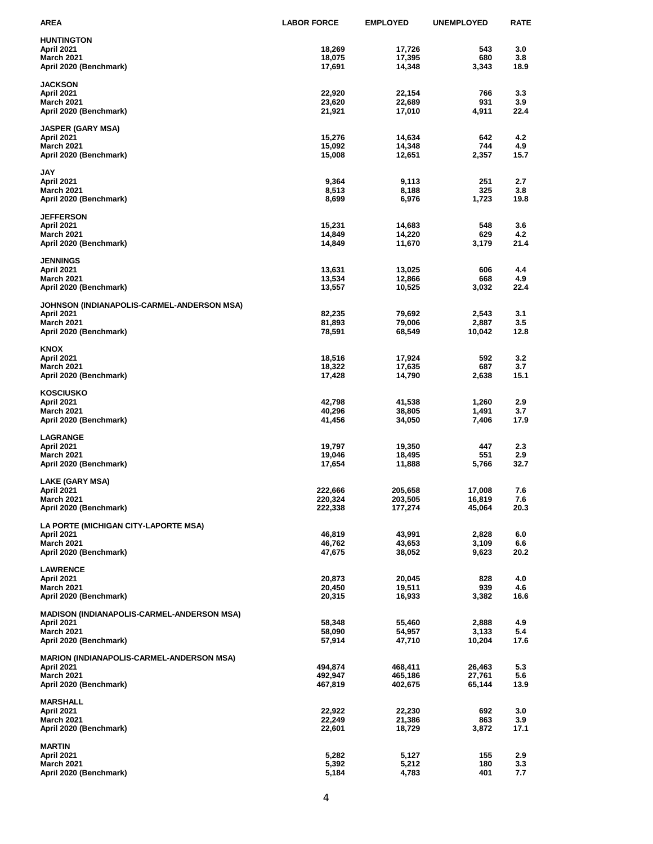| <b>AREA</b>                                       | <b>LABOR FORCE</b> | <b>EMPLOYED</b>    | <b>UNEMPLOYED</b> | <b>RATE</b> |
|---------------------------------------------------|--------------------|--------------------|-------------------|-------------|
| <b>HUNTINGTON</b>                                 |                    |                    |                   |             |
| April 2021                                        | 18,269             | 17,726             | 543               | 3.0         |
| <b>March 2021</b>                                 | 18,075             | 17,395             | 680               | 3.8         |
| April 2020 (Benchmark)                            | 17,691             | 14,348             | 3,343             | 18.9        |
| <b>JACKSON</b>                                    |                    |                    |                   |             |
| April 2021                                        | 22,920             | 22,154             | 766               | 3.3         |
| <b>March 2021</b>                                 | 23,620             | 22,689             | 931               | 3.9         |
| April 2020 (Benchmark)                            | 21,921             | 17,010             | 4,911             | 22.4        |
| <b>JASPER (GARY MSA)</b>                          |                    |                    |                   |             |
| April 2021                                        | 15,276             | 14,634             | 642               | 4.2         |
| <b>March 2021</b>                                 | 15,092             | 14,348             | 744               | 4.9         |
| April 2020 (Benchmark)                            | 15,008             | 12,651             | 2,357             | 15.7        |
| <b>JAY</b>                                        |                    |                    |                   |             |
| April 2021                                        | 9,364              | 9,113              | 251               | 2.7         |
| <b>March 2021</b>                                 | 8,513              | 8,188              | 325               | 3.8         |
| April 2020 (Benchmark)                            | 8,699              | 6,976              | 1,723             | 19.8        |
| <b>JEFFERSON</b>                                  |                    |                    |                   |             |
| April 2021                                        | 15,231             | 14,683             | 548               | 3.6         |
| <b>March 2021</b>                                 | 14,849             | 14,220             | 629               | 4.2         |
| April 2020 (Benchmark)                            | 14,849             | 11,670             | 3,179             | 21.4        |
| <b>JENNINGS</b>                                   |                    |                    |                   |             |
| April 2021                                        | 13,631             | 13,025             | 606               | 4.4         |
| <b>March 2021</b>                                 | 13,534             | 12,866             | 668               | 4.9         |
| April 2020 (Benchmark)                            | 13,557             | 10,525             | 3,032             | 22.4        |
| JOHNSON (INDIANAPOLIS-CARMEL-ANDERSON MSA)        |                    |                    |                   |             |
| April 2021                                        | 82,235             | 79,692             | 2,543             | 3.1         |
| <b>March 2021</b>                                 | 81,893             | 79,006             | 2,887             | 3.5         |
| April 2020 (Benchmark)                            | 78,591             | 68,549             | 10,042            | 12.8        |
| <b>KNOX</b>                                       |                    |                    |                   |             |
| April 2021                                        | 18,516             | 17,924             | 592               | 3.2         |
| <b>March 2021</b>                                 | 18,322             | 17,635             | 687               | 3.7         |
| April 2020 (Benchmark)                            | 17,428             | 14,790             | 2,638             | 15.1        |
| <b>KOSCIUSKO</b>                                  |                    |                    |                   |             |
| April 2021                                        | 42,798             | 41,538             | 1,260             | 2.9         |
| March 2021                                        | 40,296             | 38,805             | 1,491             | 3.7         |
| April 2020 (Benchmark)                            | 41,456             | 34,050             | 7,406             | 17.9        |
| <b>LAGRANGE</b>                                   |                    |                    |                   |             |
| April 2021                                        | 19,797             | 19,350             | 447               | 2.3         |
| <b>March 2021</b>                                 | 19,046             | 18,495             | 551               | 2.9<br>32.7 |
| April 2020 (Benchmark)                            | 17,654             | 11,888             | 5,766             |             |
| LAKE (GARY MSA)                                   |                    |                    |                   |             |
| April 2021                                        | 222,666            | 205,658            | 17,008            | 7.6         |
| <b>March 2021</b>                                 | 220,324            | 203,505            | 16,819            | 7.6         |
| April 2020 (Benchmark)                            | 222,338            | 177,274            | 45,064            | 20.3        |
| LA PORTE (MICHIGAN CITY-LAPORTE MSA)              |                    |                    |                   |             |
| <b>April 2021</b>                                 | 46,819             | 43,991             | 2,828             | 6.0         |
| <b>March 2021</b>                                 | 46,762             | 43,653             | 3,109             | 6.6         |
| April 2020 (Benchmark)                            | 47,675             | 38,052             | 9,623             | 20.2        |
| <b>LAWRENCE</b>                                   |                    |                    |                   |             |
| April 2021                                        | 20,873             | 20,045             | 828               | 4.0         |
| <b>March 2021</b><br>April 2020 (Benchmark)       | 20,450<br>20,315   | 19,511             | 939<br>3,382      | 4.6<br>16.6 |
|                                                   |                    | 16,933             |                   |             |
| <b>MADISON (INDIANAPOLIS-CARMEL-ANDERSON MSA)</b> |                    |                    |                   |             |
| April 2021                                        | 58,348             | 55,460             | 2,888             | 4.9         |
| <b>March 2021</b><br>April 2020 (Benchmark)       | 58,090<br>57,914   | 54,957<br>47,710   | 3,133<br>10,204   | 5.4<br>17.6 |
|                                                   |                    |                    |                   |             |
| MARION (INDIANAPOLIS-CARMEL-ANDERSON MSA)         |                    |                    |                   |             |
| <b>April 2021</b>                                 | 494,874            | 468,411            | 26,463            | 5.3         |
| <b>March 2021</b><br>April 2020 (Benchmark)       | 492,947<br>467,819 | 465,186<br>402,675 | 27,761<br>65,144  | 5.6<br>13.9 |
|                                                   |                    |                    |                   |             |
| <b>MARSHALL</b>                                   |                    |                    |                   |             |
| April 2021                                        | 22,922             | 22,230             | 692               | 3.0         |
| <b>March 2021</b><br>April 2020 (Benchmark)       | 22,249<br>22,601   | 21,386<br>18,729   | 863<br>3,872      | 3.9<br>17.1 |
|                                                   |                    |                    |                   |             |
| <b>MARTIN</b>                                     |                    |                    |                   |             |
| April 2021<br><b>March 2021</b>                   | 5,282<br>5,392     | 5,127<br>5,212     | 155<br>180        | 2.9<br>3.3  |
| April 2020 (Benchmark)                            | 5,184              | 4,783              | 401               | 7.7         |
|                                                   |                    |                    |                   |             |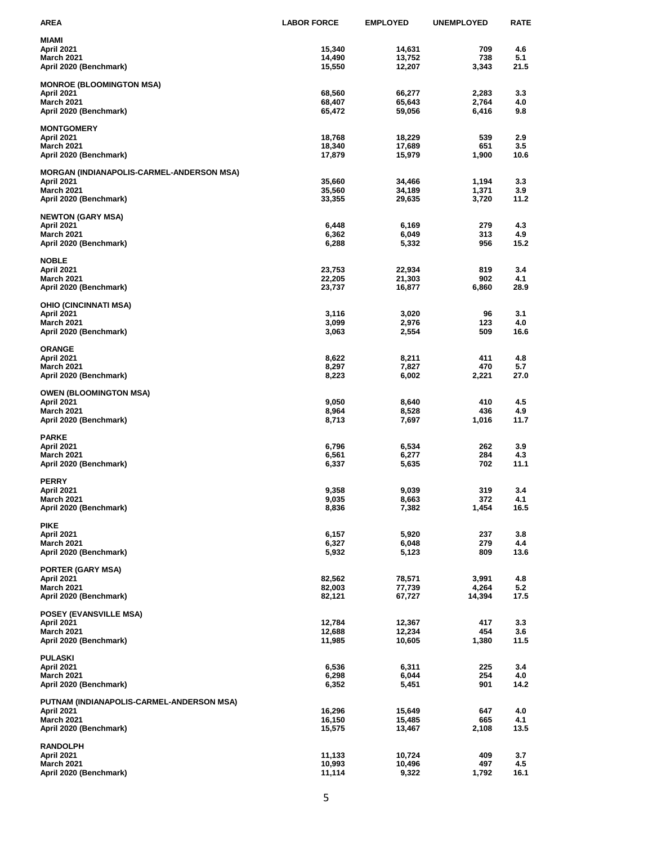| <b>AREA</b>                                      | <b>LABOR FORCE</b> | <b>EMPLOYED</b> | <b>UNEMPLOYED</b> | <b>RATE</b> |
|--------------------------------------------------|--------------------|-----------------|-------------------|-------------|
| <b>MIAMI</b>                                     |                    |                 |                   |             |
| April 2021                                       | 15,340             | 14,631          | 709               | 4.6         |
| <b>March 2021</b>                                | 14,490             | 13,752          | 738               | 5.1         |
| April 2020 (Benchmark)                           | 15,550             | 12,207          | 3,343             | 21.5        |
| <b>MONROE (BLOOMINGTON MSA)</b>                  |                    |                 |                   |             |
| April 2021                                       | 68,560             | 66,277          | 2,283             | 3.3         |
| <b>March 2021</b>                                | 68,407             | 65,643          | 2,764             | 4.0         |
| April 2020 (Benchmark)                           | 65,472             | 59,056          | 6,416             | 9.8         |
| <b>MONTGOMERY</b>                                |                    |                 |                   |             |
| <b>April 2021</b>                                | 18,768             | 18,229          | 539               | 2.9         |
| <b>March 2021</b>                                | 18,340             | 17,689          | 651               | 3.5         |
| April 2020 (Benchmark)                           | 17,879             | 15,979          | 1,900             | 10.6        |
| <b>MORGAN (INDIANAPOLIS-CARMEL-ANDERSON MSA)</b> |                    |                 |                   |             |
| April 2021                                       | 35,660             | 34,466          | 1,194             | 3.3         |
| <b>March 2021</b>                                | 35,560             | 34,189          | 1,371             | 3.9         |
| April 2020 (Benchmark)                           | 33,355             | 29,635          | 3,720             | 11.2        |
| <b>NEWTON (GARY MSA)</b>                         |                    |                 |                   |             |
| April 2021                                       | 6,448              | 6,169           | 279               | 4.3         |
| <b>March 2021</b>                                | 6,362              | 6,049           | 313               | 4.9         |
| April 2020 (Benchmark)                           | 6,288              | 5,332           | 956               | 15.2        |
| <b>NOBLE</b>                                     |                    |                 |                   |             |
| April 2021                                       | 23,753             | 22,934          | 819               | 3.4         |
| <b>March 2021</b>                                | 22,205             | 21,303          | 902               | 4.1         |
| April 2020 (Benchmark)                           | 23,737             | 16,877          | 6,860             | 28.9        |
| <b>OHIO (CINCINNATI MSA)</b>                     |                    |                 |                   |             |
| <b>April 2021</b>                                | 3,116              | 3,020           | 96                | 3.1         |
| <b>March 2021</b>                                | 3,099              | 2,976           | 123               | 4.0         |
| April 2020 (Benchmark)                           | 3,063              | 2,554           | 509               | 16.6        |
| <b>ORANGE</b>                                    |                    |                 |                   |             |
| April 2021                                       | 8,622              | 8,211           | 411               | 4.8         |
| <b>March 2021</b>                                | 8,297              | 7,827           | 470               | 5.7         |
| April 2020 (Benchmark)                           | 8,223              | 6,002           | 2,221             | 27.0        |
| <b>OWEN (BLOOMINGTON MSA)</b>                    |                    |                 |                   |             |
| April 2021                                       | 9,050              | 8,640           | 410               | 4.5         |
| <b>March 2021</b>                                | 8,964              | 8,528           | 436               | 4.9         |
| April 2020 (Benchmark)                           | 8,713              | 7,697           | 1,016             | 11.7        |
| <b>PARKE</b>                                     |                    |                 |                   |             |
| April 2021                                       | 6,796              | 6,534           | 262               | 3.9         |
| <b>March 2021</b>                                | 6,561              | 6,277           | 284               | 4.3         |
| April 2020 (Benchmark)                           | 6,337              | 5,635           | 702               | 11.1        |
| <b>PERRY</b>                                     |                    |                 |                   |             |
| April 2021                                       | 9,358              | 9,039           | 319               | 3.4         |
| <b>March 2021</b>                                | 9,035              | 8,663           | 372               | 4.1         |
| April 2020 (Benchmark)                           | 8,836              | 7,382           | 1,454             | 16.5        |
| <b>PIKE</b>                                      |                    |                 |                   |             |
| April 2021                                       | 6,157              | 5,920           | 237               | 3.8         |
| <b>March 2021</b>                                | 6,327              | 6,048           | 279               | 4.4         |
| April 2020 (Benchmark)                           | 5,932              | 5,123           | 809               | 13.6        |
| <b>PORTER (GARY MSA)</b>                         |                    |                 |                   |             |
| April 2021                                       | 82,562             | 78,571          | 3,991             | 4.8         |
| March 2021                                       | 82,003             | 77,739          | 4,264             | 5.2         |
| April 2020 (Benchmark)                           | 82,121             | 67,727          | 14,394            | 17.5        |
| POSEY (EVANSVILLE MSA)                           |                    |                 |                   |             |
| April 2021                                       | 12,784             | 12,367          | 417               | 3.3         |
| <b>March 2021</b>                                | 12,688             | 12,234          | 454               | 3.6         |
| April 2020 (Benchmark)                           | 11,985             | 10,605          | 1,380             | 11.5        |
| <b>PULASKI</b>                                   |                    |                 |                   |             |
| April 2021                                       | 6,536              | 6,311           | 225               | 3.4         |
| <b>March 2021</b>                                | 6,298              | 6,044           | 254               | 4.0         |
| April 2020 (Benchmark)                           | 6,352              | 5,451           | 901               | 14.2        |
| PUTNAM (INDIANAPOLIS-CARMEL-ANDERSON MSA)        |                    |                 |                   |             |
| <b>April 2021</b>                                | 16,296             | 15,649          | 647               | 4.0         |
| <b>March 2021</b>                                | 16,150             | 15,485          | 665               | 4.1         |
| April 2020 (Benchmark)                           | 15,575             | 13,467          | 2,108             | 13.5        |
|                                                  |                    |                 |                   |             |
| <b>RANDOLPH</b><br>April 2021                    | 11,133             | 10,724          | 409               | 3.7         |
| March 2021                                       | 10,993             | 10,496          | 497               | 4.5         |
| April 2020 (Benchmark)                           | 11,114             | 9,322           | 1,792             | 16.1        |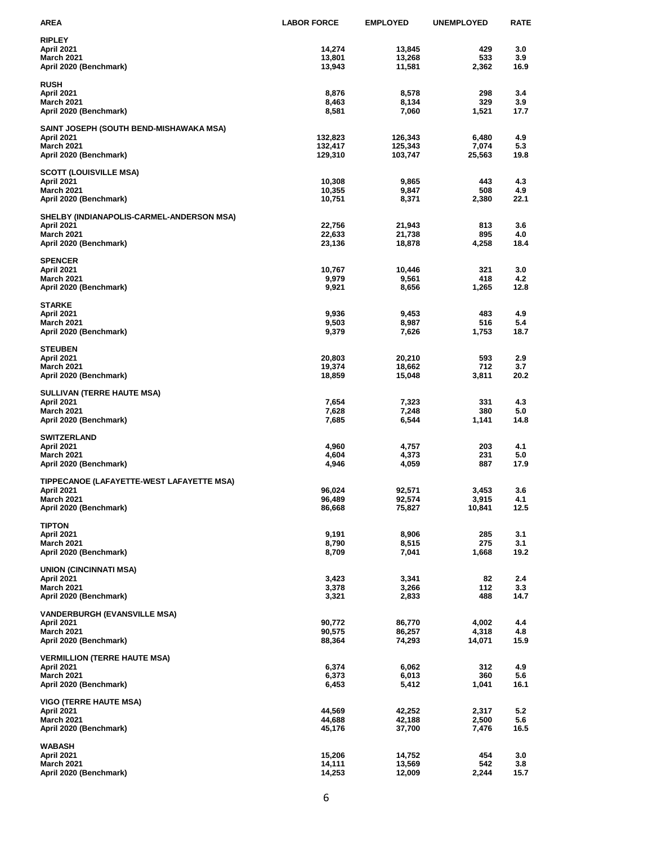| <b>AREA</b>                               | <b>LABOR FORCE</b> | <b>EMPLOYED</b> | <b>UNEMPLOYED</b> | <b>RATE</b> |
|-------------------------------------------|--------------------|-----------------|-------------------|-------------|
| <b>RIPLEY</b>                             |                    |                 |                   |             |
| April 2021                                | 14,274             | 13,845          | 429               | 3.0         |
| <b>March 2021</b>                         | 13,801             | 13,268          | 533               | 3.9         |
| April 2020 (Benchmark)                    | 13,943             | 11,581          | 2,362             | 16.9        |
| <b>RUSH</b>                               |                    |                 |                   |             |
| April 2021                                | 8,876              | 8,578           | 298               | 3.4         |
| <b>March 2021</b>                         | 8,463              | 8,134           | 329               | 3.9         |
| April 2020 (Benchmark)                    | 8,581              | 7,060           | 1,521             | 17.7        |
| SAINT JOSEPH (SOUTH BEND-MISHAWAKA MSA)   |                    |                 |                   |             |
| April 2021                                | 132,823            | 126,343         | 6,480             | 4.9         |
| <b>March 2021</b>                         | 132,417            | 125,343         | 7,074             | 5.3         |
| April 2020 (Benchmark)                    | 129,310            | 103,747         | 25,563            | 19.8        |
| <b>SCOTT (LOUISVILLE MSA)</b>             |                    |                 |                   |             |
| April 2021                                | 10,308             | 9,865           | 443               | 4.3         |
| <b>March 2021</b>                         | 10,355             | 9,847           | 508               | 4.9         |
| April 2020 (Benchmark)                    | 10,751             | 8,371           | 2,380             | 22.1        |
| SHELBY (INDIANAPOLIS-CARMEL-ANDERSON MSA) |                    |                 |                   |             |
| April 2021                                | 22,756             | 21,943          | 813               | 3.6         |
| <b>March 2021</b>                         | 22,633             | 21,738          | 895               | 4.0         |
| April 2020 (Benchmark)                    | 23,136             | 18,878          | 4,258             | 18.4        |
| <b>SPENCER</b>                            |                    |                 |                   |             |
| April 2021                                | 10,767             | 10,446          | 321               | 3.0         |
| <b>March 2021</b>                         | 9,979              | 9,561           | 418               | 4.2         |
| April 2020 (Benchmark)                    | 9,921              | 8,656           | 1,265             | 12.8        |
| <b>STARKE</b>                             |                    |                 |                   |             |
| April 2021                                | 9,936              | 9,453           | 483               | 4.9         |
| <b>March 2021</b>                         | 9,503              | 8,987           | 516               | 5.4         |
| April 2020 (Benchmark)                    | 9,379              | 7,626           | 1,753             | 18.7        |
| <b>STEUBEN</b>                            |                    |                 |                   |             |
| April 2021                                | 20,803             | 20,210          | 593               | 2.9         |
| <b>March 2021</b>                         | 19,374             | 18,662          | 712               | 3.7         |
| April 2020 (Benchmark)                    | 18,859             | 15,048          | 3,811             | 20.2        |
| <b>SULLIVAN (TERRE HAUTE MSA)</b>         |                    |                 |                   |             |
| April 2021                                | 7,654              | 7,323           | 331               | 4.3         |
| <b>March 2021</b>                         | 7,628              | 7,248           | 380               | 5.0         |
| April 2020 (Benchmark)                    | 7,685              | 6,544           | 1,141             | 14.8        |
| <b>SWITZERLAND</b>                        |                    |                 |                   |             |
| April 2021                                | 4,960              | 4,757           | 203               | 4.1         |
| <b>March 2021</b>                         | 4,604              | 4,373           | 231               | 5.0         |
| April 2020 (Benchmark)                    | 4,946              | 4,059           | 887               | 17.9        |
| TIPPECANOE (LAFAYETTE-WEST LAFAYETTE MSA) |                    |                 |                   |             |
| April 2021                                | 96,024             | 92,571          | 3,453             | 3.6         |
| <b>March 2021</b>                         | 96,489             | 92,574          | 3,915             | 4.1         |
| April 2020 (Benchmark)                    | 86,668             | 75,827          | 10,841            | 12.5        |
| <b>TIPTON</b>                             |                    |                 |                   |             |
| April 2021                                | 9,191              | 8,906           | 285               | 3.1         |
| <b>March 2021</b>                         | 8,790              | 8,515           | 275               | 3.1         |
| April 2020 (Benchmark)                    | 8,709              | 7,041           | 1,668             | 19.2        |
| <b>UNION (CINCINNATI MSA)</b>             |                    |                 |                   |             |
| April 2021                                | 3,423              | 3,341           | 82                | 2.4         |
| March 2021                                | 3,378              | 3,266           | 112               | 3.3         |
| April 2020 (Benchmark)                    | 3,321              | 2,833           | 488               | 14.7        |
| <b>VANDERBURGH (EVANSVILLE MSA)</b>       |                    |                 |                   |             |
| April 2021                                | 90,772             | 86,770          | 4,002             | 4.4         |
| <b>March 2021</b>                         | 90,575             | 86,257          | 4,318             | 4.8         |
| April 2020 (Benchmark)                    | 88,364             | 74,293          | 14,071            | 15.9        |
| <b>VERMILLION (TERRE HAUTE MSA)</b>       |                    |                 |                   |             |
| April 2021                                | 6,374              | 6,062           | 312               | 4.9         |
| <b>March 2021</b>                         | 6,373              | 6,013           | 360               | 5.6         |
| April 2020 (Benchmark)                    | 6,453              | 5,412           | 1,041             | 16.1        |
| <b>VIGO (TERRE HAUTE MSA)</b>             |                    |                 |                   |             |
| April 2021                                | 44,569             | 42,252          | 2,317             | 5.2         |
| <b>March 2021</b>                         | 44,688             | 42,188          | 2,500             | 5.6         |
| April 2020 (Benchmark)                    | 45,176             | 37,700          | 7,476             | 16.5        |
| <b>WABASH</b>                             |                    |                 |                   |             |
| April 2021                                | 15,206             | 14,752          | 454               | 3.0         |
| <b>March 2021</b>                         | 14,111             | 13,569          | 542               | 3.8         |
| April 2020 (Benchmark)                    | 14,253             | 12,009          | 2,244             | 15.7        |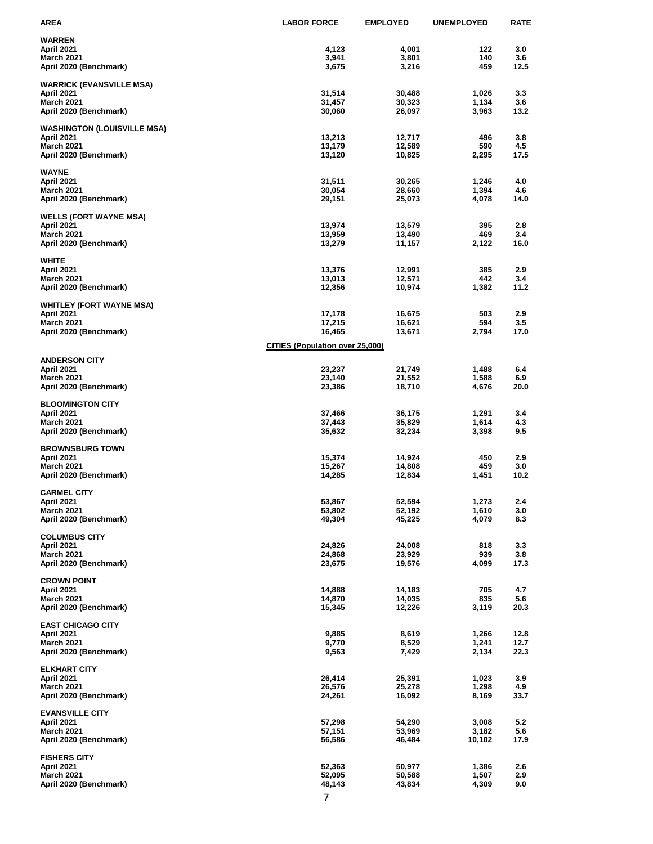| <b>AREA</b>                                 | <b>LABOR FORCE</b>                     | <b>EMPLOYED</b>  | <b>UNEMPLOYED</b> | <b>RATE</b> |
|---------------------------------------------|----------------------------------------|------------------|-------------------|-------------|
| <b>WARREN</b>                               |                                        |                  |                   |             |
| April 2021                                  | 4,123                                  | 4,001            | 122               | 3.0         |
| <b>March 2021</b><br>April 2020 (Benchmark) | 3,941<br>3,675                         | 3,801<br>3,216   | 140<br>459        | 3.6<br>12.5 |
|                                             |                                        |                  |                   |             |
| <b>WARRICK (EVANSVILLE MSA)</b>             |                                        |                  |                   |             |
| April 2021<br><b>March 2021</b>             | 31,514<br>31,457                       | 30,488<br>30,323 | 1,026<br>1,134    | 3.3<br>3.6  |
| April 2020 (Benchmark)                      | 30,060                                 | 26,097           | 3,963             | 13.2        |
|                                             |                                        |                  |                   |             |
| <b>WASHINGTON (LOUISVILLE MSA)</b>          | 13,213                                 |                  | 496               |             |
| April 2021<br><b>March 2021</b>             | 13,179                                 | 12,717<br>12,589 | 590               | 3.8<br>4.5  |
| April 2020 (Benchmark)                      | 13,120                                 | 10,825           | 2,295             | 17.5        |
|                                             |                                        |                  |                   |             |
| <b>WAYNE</b><br>April 2021                  | 31,511                                 | 30,265           | 1,246             | 4.0         |
| <b>March 2021</b>                           | 30,054                                 | 28,660           | 1,394             | 4.6         |
| April 2020 (Benchmark)                      | 29,151                                 | 25,073           | 4,078             | 14.0        |
| <b>WELLS (FORT WAYNE MSA)</b>               |                                        |                  |                   |             |
| April 2021                                  | 13,974                                 | 13,579           | 395               | 2.8         |
| <b>March 2021</b>                           | 13,959                                 | 13,490           | 469               | 3.4         |
| April 2020 (Benchmark)                      | 13,279                                 | 11,157           | 2,122             | 16.0        |
| <b>WHITE</b>                                |                                        |                  |                   |             |
| April 2021                                  | 13,376                                 | 12,991           | 385               | 2.9         |
| <b>March 2021</b>                           | 13,013                                 | 12,571           | 442<br>1,382      | 3.4<br>11.2 |
| April 2020 (Benchmark)                      | 12,356                                 | 10,974           |                   |             |
| <b>WHITLEY (FORT WAYNE MSA)</b>             |                                        |                  |                   |             |
| April 2021                                  | 17,178                                 | 16,675           | 503               | 2.9         |
| <b>March 2021</b><br>April 2020 (Benchmark) | 17,215<br>16,465                       | 16,621<br>13,671 | 594<br>2,794      | 3.5<br>17.0 |
|                                             |                                        |                  |                   |             |
|                                             | <b>CITIES (Population over 25,000)</b> |                  |                   |             |
| <b>ANDERSON CITY</b>                        |                                        |                  |                   |             |
| <b>April 2021</b><br><b>March 2021</b>      | 23,237<br>23,140                       | 21,749<br>21,552 | 1,488<br>1,588    | 6.4<br>6.9  |
| April 2020 (Benchmark)                      | 23,386                                 | 18,710           | 4,676             | 20.0        |
|                                             |                                        |                  |                   |             |
| <b>BLOOMINGTON CITY</b><br>April 2021       | 37,466                                 | 36,175           | 1,291             | 3.4         |
| March 2021                                  | 37,443                                 | 35,829           | 1,614             | 4.3         |
| April 2020 (Benchmark)                      | 35,632                                 | 32,234           | 3,398             | 9.5         |
| <b>BROWNSBURG TOWN</b>                      |                                        |                  |                   |             |
| April 2021                                  | 15,374                                 | 14,924           | 450               | 2.9         |
| <b>March 2021</b>                           | 15,267                                 | 14,808           | 459               | 3.0         |
| April 2020 (Benchmark)                      | 14,285                                 | 12,834           | 1,451             | 10.2        |
| <b>CARMEL CITY</b>                          |                                        |                  |                   |             |
| April 2021                                  | 53,867                                 | 52,594           | 1,273             | 2.4         |
| <b>March 2021</b>                           | 53,802<br>49,304                       | 52,192<br>45,225 | 1,610<br>4,079    | 3.0<br>8.3  |
| April 2020 (Benchmark)                      |                                        |                  |                   |             |
| <b>COLUMBUS CITY</b>                        |                                        |                  |                   |             |
| April 2021                                  | 24,826                                 | 24,008           | 818               | 3.3         |
| <b>March 2021</b><br>April 2020 (Benchmark) | 24,868<br>23,675                       | 23,929<br>19,576 | 939<br>4,099      | 3.8<br>17.3 |
|                                             |                                        |                  |                   |             |
| <b>CROWN POINT</b>                          |                                        |                  |                   |             |
| April 2021<br><b>March 2021</b>             | 14,888<br>14,870                       | 14,183<br>14,035 | 705<br>835        | 4.7<br>5.6  |
| April 2020 (Benchmark)                      | 15,345                                 | 12,226           | 3,119             | 20.3        |
|                                             |                                        |                  |                   |             |
| <b>EAST CHICAGO CITY</b><br>April 2021      | 9,885                                  | 8,619            | 1,266             | 12.8        |
| <b>March 2021</b>                           | 9,770                                  | 8,529            | 1,241             | 12.7        |
| April 2020 (Benchmark)                      | 9,563                                  | 7,429            | 2,134             | 22.3        |
| <b>ELKHART CITY</b>                         |                                        |                  |                   |             |
| April 2021                                  | 26,414                                 | 25,391           | 1,023             | 3.9         |
| <b>March 2021</b>                           | 26,576                                 | 25,278           | 1,298             | 4.9         |
| April 2020 (Benchmark)                      | 24,261                                 | 16,092           | 8,169             | 33.7        |
| <b>EVANSVILLE CITY</b>                      |                                        |                  |                   |             |
| April 2021                                  | 57,298                                 | 54,290           | 3,008             | 5.2         |
| <b>March 2021</b>                           | 57,151                                 | 53,969           | 3,182             | 5.6         |
| April 2020 (Benchmark)                      | 56,586                                 | 46,484           | 10,102            | 17.9        |
| <b>FISHERS CITY</b>                         |                                        |                  |                   |             |
| April 2021                                  | 52,363                                 | 50,977           | 1,386             | 2.6         |
| <b>March 2021</b><br>April 2020 (Benchmark) | 52,095<br>48,143                       | 50,588<br>43,834 | 1,507<br>4,309    | 2.9<br>9.0  |
|                                             |                                        |                  |                   |             |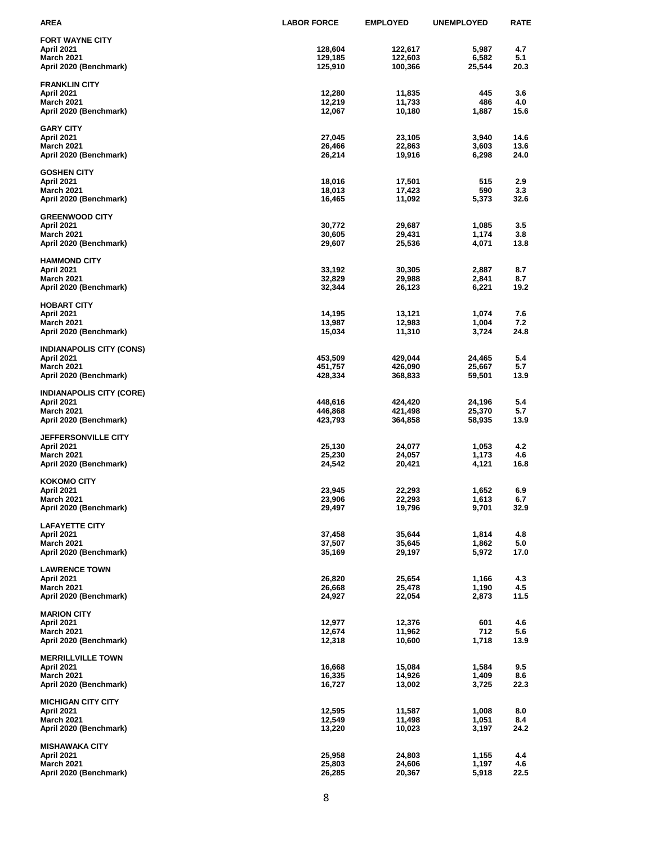| <b>AREA</b>                                 | <b>LABOR FORCE</b> | <b>EMPLOYED</b>  | <b>UNEMPLOYED</b> | <b>RATE</b> |
|---------------------------------------------|--------------------|------------------|-------------------|-------------|
| <b>FORT WAYNE CITY</b>                      |                    |                  |                   |             |
| April 2021                                  | 128,604            | 122,617          | 5,987             | 4.7         |
| <b>March 2021</b>                           | 129,185            | 122,603          | 6,582             | 5.1         |
| April 2020 (Benchmark)                      | 125,910            | 100,366          | 25,544            | 20.3        |
|                                             |                    |                  |                   |             |
| <b>FRANKLIN CITY</b>                        |                    |                  |                   |             |
| April 2021<br><b>March 2021</b>             | 12,280<br>12,219   | 11,835<br>11,733 | 445<br>486        | 3.6<br>4.0  |
| April 2020 (Benchmark)                      | 12,067             | 10,180           | 1,887             | 15.6        |
|                                             |                    |                  |                   |             |
| <b>GARY CITY</b>                            |                    |                  |                   |             |
| April 2021                                  | 27,045             | 23,105           | 3,940             | 14.6        |
| <b>March 2021</b>                           | 26,466             | 22,863           | 3,603             | 13.6        |
| April 2020 (Benchmark)                      | 26,214             | 19,916           | 6,298             | 24.0        |
|                                             |                    |                  |                   |             |
| <b>GOSHEN CITY</b><br>April 2021            | 18,016             | 17,501           | 515               | 2.9         |
| <b>March 2021</b>                           | 18,013             | 17,423           | 590               | 3.3         |
| April 2020 (Benchmark)                      | 16,465             | 11,092           | 5,373             | 32.6        |
|                                             |                    |                  |                   |             |
| <b>GREENWOOD CITY</b>                       |                    |                  |                   |             |
| April 2021                                  | 30,772             | 29,687           | 1,085             | 3.5         |
| <b>March 2021</b>                           | 30,605             | 29,431           | 1,174             | 3.8         |
| April 2020 (Benchmark)                      | 29,607             | 25,536           | 4,071             | 13.8        |
| <b>HAMMOND CITY</b>                         |                    |                  |                   |             |
| April 2021                                  | 33,192             | 30,305           | 2,887             | 8.7         |
| <b>March 2021</b>                           | 32,829             | 29,988           | 2,841             | 8.7         |
| April 2020 (Benchmark)                      | 32,344             | 26,123           | 6,221             | 19.2        |
|                                             |                    |                  |                   |             |
| <b>HOBART CITY</b>                          |                    |                  |                   |             |
| April 2021                                  | 14,195             | 13,121           | 1,074             | 7.6         |
| <b>March 2021</b>                           | 13,987             | 12,983           | 1,004             | 7.2         |
| April 2020 (Benchmark)                      | 15,034             | 11,310           | 3,724             | 24.8        |
| <b>INDIANAPOLIS CITY (CONS)</b>             |                    |                  |                   |             |
| <b>April 2021</b>                           | 453,509            | 429,044          | 24,465            | 5.4         |
| <b>March 2021</b>                           | 451,757            | 426,090          | 25,667            | 5.7         |
| April 2020 (Benchmark)                      | 428,334            | 368,833          | 59,501            | 13.9        |
|                                             |                    |                  |                   |             |
| <b>INDIANAPOLIS CITY (CORE)</b>             |                    |                  |                   |             |
| April 2021                                  | 448,616            | 424,420          | 24,196            | 5.4         |
| <b>March 2021</b>                           | 446,868            | 421,498          | 25,370            | 5.7         |
| April 2020 (Benchmark)                      | 423,793            | 364,858          | 58,935            | 13.9        |
| <b>JEFFERSONVILLE CITY</b>                  |                    |                  |                   |             |
| April 2021                                  | 25,130             | 24,077           | 1,053             | 4.2         |
| March 2021                                  | 25,230             | 24,057           | 1,173             | 4.6         |
| April 2020 (Benchmark)                      | 24,542             | 20,421           | 4,121             | 16.8        |
|                                             |                    |                  |                   |             |
| <b>KOKOMO CITY</b>                          |                    |                  |                   |             |
| April 2021                                  | 23,945             | 22,293           | 1,652             | 6.9         |
| <b>March 2021</b>                           | 23,906             | 22,293           | 1,613             | 6.7<br>32.9 |
| April 2020 (Benchmark)                      | 29,497             | 19,796           | 9,701             |             |
| <b>LAFAYETTE CITY</b>                       |                    |                  |                   |             |
| April 2021                                  | 37,458             | 35,644           | 1,814             | 4.8         |
| <b>March 2021</b>                           | 37,507             | 35,645           | 1,862             | 5.0         |
| April 2020 (Benchmark)                      | 35,169             | 29,197           | 5,972             | 17.0        |
|                                             |                    |                  |                   |             |
| <b>LAWRENCE TOWN</b>                        |                    |                  |                   |             |
| April 2021                                  | 26,820             | 25,654           | 1,166             | 4.3         |
| <b>March 2021</b><br>April 2020 (Benchmark) | 26,668<br>24,927   | 25,478<br>22,054 | 1,190<br>2,873    | 4.5<br>11.5 |
|                                             |                    |                  |                   |             |
| <b>MARION CITY</b>                          |                    |                  |                   |             |
| April 2021                                  | 12,977             | 12,376           | 601               | 4.6         |
| <b>March 2021</b>                           | 12,674             | 11,962           | 712               | 5.6         |
| April 2020 (Benchmark)                      | 12,318             | 10,600           | 1,718             | 13.9        |
|                                             |                    |                  |                   |             |
| <b>MERRILLVILLE TOWN</b>                    |                    |                  |                   |             |
| April 2021<br><b>March 2021</b>             | 16,668<br>16,335   | 15,084<br>14,926 | 1,584<br>1,409    | 9.5<br>8.6  |
| April 2020 (Benchmark)                      | 16,727             | 13,002           | 3,725             | 22.3        |
|                                             |                    |                  |                   |             |
| <b>MICHIGAN CITY CITY</b>                   |                    |                  |                   |             |
| April 2021                                  | 12,595             | 11,587           | 1,008             | 8.0         |
| <b>March 2021</b>                           | 12,549             | 11,498           | 1,051             | 8.4         |
| April 2020 (Benchmark)                      | 13,220             | 10,023           | 3,197             | 24.2        |
|                                             |                    |                  |                   |             |
| <b>MISHAWAKA CITY</b>                       |                    |                  |                   |             |
| April 2021<br><b>March 2021</b>             | 25,958<br>25,803   | 24,803<br>24,606 | 1,155<br>1,197    | 4.4<br>4.6  |
| April 2020 (Benchmark)                      | 26,285             | 20,367           | 5,918             | 22.5        |
|                                             |                    |                  |                   |             |